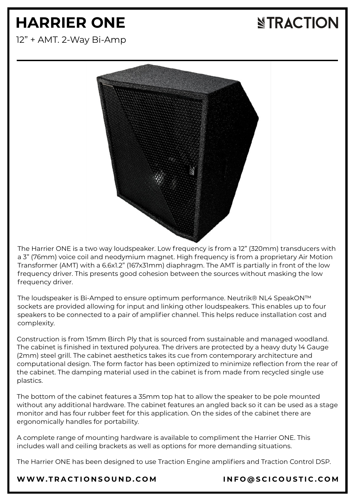# **HARRIER ONE**

### **NTRACTION**

12" + AMT. 2-Way Bi-Amp



The Harrier ONE is a two way loudspeaker. Low frequency is from a 12" (320mm) transducers with a 3" (76mm) voice coil and neodymium magnet. High frequency is from a proprietary Air Motion Transformer (AMT) with a 6.6x1.2" (167x31mm) diaphragm. The AMT is partially in front of the low frequency driver. This presents good cohesion between the sources without masking the low frequency driver.

The loudspeaker is Bi-Amped to ensure optimum performance. Neutrik® NL4 SpeakON™ sockets are provided allowing for input and linking other loudspeakers. This enables up to four speakers to be connected to a pair of amplifier channel. This helps reduce installation cost and complexity.

Construction is from 15mm Birch Ply that is sourced from sustainable and managed woodland. The cabinet is finished in textured polyurea. The drivers are protected by a heavy duty 14 Gauge (2mm) steel grill. The cabinet aesthetics takes its cue from contemporary architecture and computational design. The form factor has been optimized to minimize reflection from the rear of the cabinet. The damping material used in the cabinet is from made from recycled single use plastics.

The bottom of the cabinet features a 35mm top hat to allow the speaker to be pole mounted without any additional hardware. The cabinet features an angled back so it can be used as a stage monitor and has four rubber feet for this application. On the sides of the cabinet there are ergonomically handles for portability.

A complete range of mounting hardware is available to compliment the Harrier ONE. This includes wall and ceiling brackets as well as options for more demanding situations.

The Harrier ONE has been designed to use Traction Engine amplifiers and Traction Control DSP.

#### [WWW.T](https://www.tractionsound.com/)RACTIONSOUND.COM INFO[@](mailto:info@scicoustic.com)SCICOUSTIC.COM